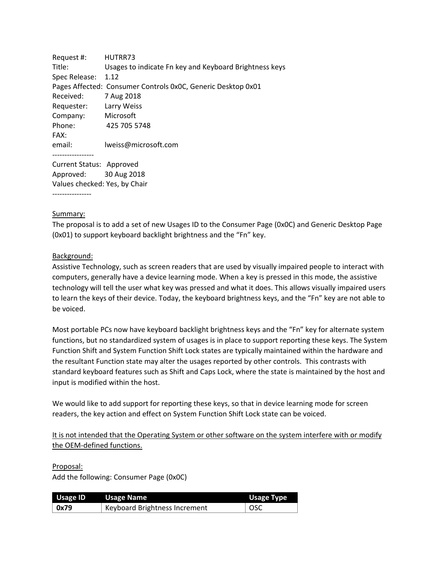Request #: HUTRR73 Title: Usages to indicate Fn key and Keyboard Brightness keys Spec Release: 1.12 Pages Affected: Consumer Controls 0x0C, Generic Desktop 0x01 Received: 7 Aug 2018 Requester: Larry Weiss Company: Microsoft Phone: 425 705 5748 FAX: email: lweiss@microsoft.com ‐‐‐‐‐‐‐‐‐‐‐‐‐‐‐‐‐ Current Status: Approved Approved: 30 Aug 2018 Values checked: Yes, by Chair

---------------<br>-

## Summary:

The proposal is to add a set of new Usages ID to the Consumer Page (0x0C) and Generic Desktop Page (0x01) to support keyboard backlight brightness and the "Fn" key.

## Background:

Assistive Technology, such as screen readers that are used by visually impaired people to interact with computers, generally have a device learning mode. When a key is pressed in this mode, the assistive technology will tell the user what key was pressed and what it does. This allows visually impaired users to learn the keys of their device. Today, the keyboard brightness keys, and the "Fn" key are not able to be voiced.

Most portable PCs now have keyboard backlight brightness keys and the "Fn" key for alternate system functions, but no standardized system of usages is in place to support reporting these keys. The System Function Shift and System Function Shift Lock states are typically maintained within the hardware and the resultant Function state may alter the usages reported by other controls. This contrasts with standard keyboard features such as Shift and Caps Lock, where the state is maintained by the host and input is modified within the host.

We would like to add support for reporting these keys, so that in device learning mode for screen readers, the key action and effect on System Function Shift Lock state can be voiced.

It is not intended that the Operating System or other software on the system interfere with or modify the OEM‐defined functions.

Proposal: Add the following: Consumer Page (0x0C)

| Usage ID | Usage Name                           | <b>Usage Type</b> |
|----------|--------------------------------------|-------------------|
| 0x79     | <b>Keyboard Brightness Increment</b> | <b>OSC</b>        |